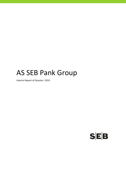# AS SEB Pank Group

Interim Report of Quarter I 2015

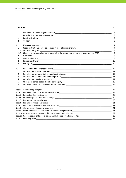#### **Contents** P.

|            |                                                                                                                                                                                                                                | $\overline{2}$      |
|------------|--------------------------------------------------------------------------------------------------------------------------------------------------------------------------------------------------------------------------------|---------------------|
| I.         |                                                                                                                                                                                                                                | 3                   |
| 1.         |                                                                                                                                                                                                                                | 3                   |
| 2.         |                                                                                                                                                                                                                                | 3                   |
| II.        | <b>Management Report</b>                                                                                                                                                                                                       | 4                   |
| 1.         |                                                                                                                                                                                                                                | $\overline{4}$      |
| 1.1.       | Consolidated group                                                                                                                                                                                                             | $\overline{4}$      |
| 1.2.<br>2. | Changes in the consolidated group during the accounting period and plans for year 2015<br><b>Highlights</b>                                                                                                                    | $\overline{4}$<br>5 |
| 3.         |                                                                                                                                                                                                                                | 8                   |
| 4.         |                                                                                                                                                                                                                                |                     |
| 5.         |                                                                                                                                                                                                                                | 10                  |
| Ш.         |                                                                                                                                                                                                                                | 12                  |
| 1.         | Consolidated income statement<br><u> 1989 - Johann Stoff, amerikansk politiker (d. 1989)</u>                                                                                                                                   | 12                  |
| 2.         |                                                                                                                                                                                                                                |                     |
| 3.         |                                                                                                                                                                                                                                |                     |
| 4.         |                                                                                                                                                                                                                                |                     |
| 5.         |                                                                                                                                                                                                                                | 15                  |
| 6.         |                                                                                                                                                                                                                                | 16                  |
| Note 1     |                                                                                                                                                                                                                                | 17                  |
| Note 2     |                                                                                                                                                                                                                                |                     |
| Note 3     | Interest and similar income                                                                                                                                                                                                    | 20                  |
| Note 4     |                                                                                                                                                                                                                                | 20                  |
| Note 5     |                                                                                                                                                                                                                                | 20                  |
| Note 6     |                                                                                                                                                                                                                                | 21                  |
| Note 7     |                                                                                                                                                                                                                                |                     |
|            |                                                                                                                                                                                                                                |                     |
|            |                                                                                                                                                                                                                                |                     |
|            |                                                                                                                                                                                                                                |                     |
|            |                                                                                                                                                                                                                                |                     |
|            | Note 12 Related parties and the state of the state of the state of the state of the state of the state of the state of the state of the state of the state of the state of the state of the state of the state of the state of | 25                  |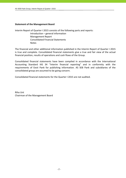#### **Statement of the Management Board**

Interim Report of Quarter I 2015 consists of the following parts and reports:

 Introduction – general information Management Report Consolidated Financial Statements Notes

The financial and other additional information published in the Interim Report of Quarter I 2015 is true and complete. Consolidated financial statements give a true and fair view of the actual financial position, results of operations and cash flows of the Group.

Consolidated financial statements have been compiled in accordance with the International Accounting Standard IAS 34 "Interim financial reporting" and in conformity with the requirements of Eesti Pank for publishing information. AS SEB Pank and subsidiaries of the consolidated group are assumed to be going concern.

Consolidated financial statements for the Quarter I 2015 are not audited.

Riho Unt Chairman of the Management Board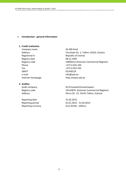#### **I. Introduction ‐ general information**

#### **1. Credit institution**

Company name AS SEB Pank Registry date 08.12.1995 Phone  $+3726655100$ Fax +372 6 655 102 SWIFT FUHET e-mail info@seb.ee

#### **2. Auditor**

Reporting date 31.03.2015 Reporting currency **EUR** Euro (EUR), millions

Address Tornimäe Str. 2, Tallinn 15010, Estonia Registered in Republic of Estonia Registry code 10004252 (Estonian Commercial Register) Internet homepage http://www.seb.ee

Audit company **AS PricewaterhouseCoopers** Registry code 10142876 (Estonian Commercial Register) Address **Pärnu Str. 15, 10141 Tallinn, Estonia** 

Reporting period 01.01.2015 ‐ 31.03.2015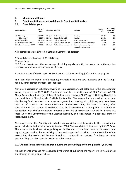#### **II. Management Report**

## **1. Credit institution's group as defined in Credit Institutions Law**

#### **1.1. Consolidated group**

| Company name                 | Registry<br>code | Reg. date | <b>Address</b>            | <b>Activity</b>                                  | Holding***<br>(%) | At an acqui-<br>sition cost<br>(EURmio) |
|------------------------------|------------------|-----------|---------------------------|--------------------------------------------------|-------------------|-----------------------------------------|
| AS SEB Liising               | 10281767         | 03.10.97  | Tallinn, Tornimäe 2       | Leasing                                          | 100.0%            | 1.8                                     |
| AS Rentacar*                 | 10303546         | 20.10.97  | Haapsalu, Karja 27        | Leasing                                          | 100.0%            | 0.0                                     |
| <b>AS SEB Varahaldus</b>     | 10035169         | 22.05.96  | Tallinn. Tornimäe 2       | Asset management                                 | 100.0%            | 2.7                                     |
| AS Sertifitseerimiskeskus**  | 10747013         | 27.03.01  | Tallinn, Pärnu mnt 141    | Data communication services                      | 25.0%             | 1.0                                     |
| Tieto Estonia Services OÜ ** | 11065244         | 30.08.04  | Tallinn. Tammsaare tee 47 | Information processing and<br>network management | 20.0%             | 0.0                                     |
|                              |                  |           |                           |                                                  |                   | 5.5                                     |

All enterprises are registered in Estonian Commercial Register.

\* Consolidated subsidiary of AS SEB Liising.

\*\* Associates.

\*\*\* For all investments the percentage of holding equals to both, the holding from the number of shares as well as from the number of votes.

Parent company of the Group is AS SEB Pank, its activity is banking (information on page 3).

The "consolidated group" in the meaning of Credit Institutions Law in Estonia and the "Group" for IFRS consolidation purposes are identical.

Non‐profit association SEB Heategevusfond is an association, not belonging to the consolidation group, registered on 06.01.2006. The founders of the association are AS SEB Pank and AS SEB Elu‐ ja Pensionikindlustus (subsidiary of life insurance company SEB Trygg Liv Holding AB which is the subsidiary of Skandinaviska Enskilda Banken AB). The association is aimed at raising and distributing funds for charitable cause to organisations, dealing with children, who have been deprived of parental care. Upon dissolution of the association, the assets remaining after satisfaction of the claims of creditors shall be transferred to a non‐profit association or foundation with similar objectives, entered to the list of associations subject to income tax incentive of the Government of the Estonian Republic, or a legal person in public law, state or local government.

Non‐profit association Spordiklubi United is an association, not belonging to the consolidation group, which started activity from September 2008. The association is founded by AS SEB Pank. The association is aimed at organising on hobby and competition level sport events and organising promotions for advertising of own and supporter´s activities. Upon dissolution of the association, the assets shall be transferred to a non‐profit association, foundation or other persons filling the objectives by articles in public interests.

## **1.2. Changes in the consolidated group during the accounting period and plans for year 2015**

No such events or trends have occurred by the time of publishing the report, which would affect the strategy of the group in 2015.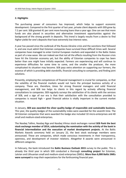## **2. Highlights**

The purchasing power of consumers has improved, which helps to support economic development. Compared to the first quarter of last year, private client deposits with SEB grew by 7.2 per cent. SEB granted 41 per cent more housing loans than a year ago. One can see that more funds are also placed in securities and alternative investment opportunities against the background of the strong growth in deposits. This trend is largely results from a desire to find higher yields for one's deposits that have extremely low interest rates.

A year has passed since the outbreak of the Russia‐Ukraine crisis and the sanctions that followed it, and one must admit that Estonian companies have survived these difficult times well. Several companies have managed to enter Central European markets and expanded in the Baltic States as part of a new wave. We can indeed see that not all the effects resulting from the Russian crisis have hit the Estonian economy yet, but the ability of Estonian companies to cope has been better than one might have initially expected. Farmers are experiencing and will continue to experience difficulties for some time to come, and the smaller the producer, the more complicated its situation may become. SEB pays extra attention on supporting our farmers, the essence of which is providing debt standstills, financial consulting to companies, and finding joint solutions.

Presently, employing the competences of financial management is crucial for companies, so that the volatility of the financial markets would not harm the principal business activity of a company. These are, therefore, times for strong financial managers and solid financial management, and SEB too helps its clients in this regard by actively offering financial consultations to companies. SEB regularly surveys the satisfaction of its clients with the services of SEB, and a sign of our era is that their satisfaction with the consultation provided to companies is record high – good financial advice is vitally important in the current market situation.

In January, **SEB was awarded the silver quality badge of responsible and sustainable business.** This year, the quality badges of the sustainability index were awarded for the seventh time. The 50 Estonian companies that were awarded the badge also included 10 micro-enterprises and 40 small and medium‐sized enterprises.

The Nasdaq Tallinn, Nasdaq Riga and Nasdaq Vilnius stock exchanges named **SEB Pank the best stock exchange member of 2014, substantiating the nomination with the activity of the bank in financial intermediation and the execution of market development projects.** At the Baltic Markets Awards ceremony held on January 22, the best stock exchange members were announced. These are companies, which made conscious investments in their transparency, openness, and development of investor relations. Altogether 8 awards were announced in different categories.

In February, the bank introduced the **Baltic Business Outlook 2015** survey to the public. This is already the third year in which SEB conducted a thorough **consulting project** for Estonian, Latvian and Lithuanian small and medium‐sized enterprises (SMEs). **More than 6,000 Baltic SMEs were surveyed** to map their expectations for the forthcoming financial year.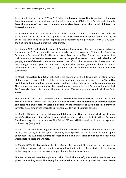According to the survey for 2015 of SEB Baltic, **the focus on innovation is considered the most important aspect** by the small and medium‐sized enterprises (SMEs) from Estonia and Lithuania. **Over the course of the year, Lithuanian enterprises have raised their level of interest in innovation the most.**

In February, SEB and the University of Tartu invited potential candidates to apply for participation in the Idea Lab. The support of the **VEGA Fund** to development projects is 18,000 euros. The VEGA Fund has so far supported the development of 8 prototypes, with 14,300 euros the first time and 22,900 euros the second time.

In February, **SEB** conducted a **Retirement Readiness Index survey**. The survey was carried out at the request of SEB in cooperation with the market research company TNS and the Centre for Sustainable Business of the Stockholm School of Economics in Riga. The survey comprises four main elements: **retirement awareness, trust in the pension system, the actual behaviour of people, and confidence in their future pension.** Henceforth, the Retirement Readiness Index will be put together each year to track any changes in the pension systems of the Baltic States, determine the actual situation, and to supplement the advice we offer to our clients with fresh survey data.

In March, **Innovation Lab 2015** (iLab 2015), the second of its kind, took place in Tallinn, where SEB had invited representatives of the Estonian small and medium‐sized enterprises (SMEs) **that are interested in expanding to new markets and increasing their turnovers through innovation**. The seminar featured appearances by several innovation experts from Estonia and abroad. iLab 2015 was also held in Latvia and Lithuania, to over 900 participants in total in all three Baltic states.

The month of March was commemorated as **Financial Wisdom Month** on the initiative of the Estonian Banking Association. The objective **was to stress the importance of financial literacy and raise the awareness of Estonian people of the principles of wise financial behaviour.** Seventeen SEB employees shared their financial wisdom at 73 Estonian schools.

In March, SEB took part in the **International Safer Internet Day**, the aim of which was to **draw people's attention to the safety of smart devices**, and provide simple instructions. SA Vaata Maailma, along with the partners of NutiKaitse 2017 and MTÜ Lastekaitse Liit, are the organisers of Smart Day (Nutipäev).

In the Theatre Month, operagoers voted for the best-loved soloists of the Estonian National Opera, assisted by SEB. This year, SEB Pank, Gold Sponsor of the Estonian National Opera, announced the **Audience Awards for Best Female and Best Male Soloist** for the fifth time. Operagoers selected the winners.

In March, **SEB's Heategevusfond** held its **Career Day**. Around 60 young persons deprived of parental care, who are determined to receive education in spite of the obstacles life has thrown in their way, received the necessary support for studies and subsistence.

SEB has developed a **mobile application called "Mark the places",** which helps people **map the places, where they would like to pay for their purchases or services by card, but are unable to**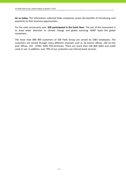**do so today.** The information collected helps companies assess the benefits of introducing card payments to their business opportunities.

For the sixth consecutive year, **SEB participated in the Earth Hour**. The aim of this movement is to draw wider attention to climate change and global warming. WWF leads the global movement.

The more than 889 900 customers of SEB Pank Group are served by 1083 employees. The customers are served through many different channels such as 26 branch offices, 220 on‐line post offices, 252 ATMs, 9295 POS-terminals. There are more than 536 800 debit and credit cards in use. In addition, over 78% of our customers use internet bank services.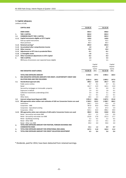#### **3. Capital adequacy**

(millions of EUR)

|        | <b>CAPITAL BASE</b>                                    | 31.03.15 | 31.12.14 |
|--------|--------------------------------------------------------|----------|----------|
|        | <b>OWN FUNDS</b>                                       | 844.4    | 848.8    |
| 1.     | TIER 1 CAPITAL                                         | 843.0    | 843.3    |
| 1.1.   | <b>COMMON EQUITY TIER 1 CAPITAL</b>                    | 843.0    | 843.3    |
| 1.1.1. | Capital instruments eligible as CET1 Capital           | 128.8    | 128.8    |
|        | Paid up capital instruments                            | 42.5     | 42.5     |
|        | Share premium                                          | 86.3     | 86.3     |
|        | 1.1.2. Retained earnings*                              | 695.9    | 695.9    |
|        | 1.1.3. Accumulated other comprehensive income          | 1.0      | 0.7      |
|        | 1.1.4. Other reserves                                  | 19.4     | 19.4     |
|        | 1.1.5. Adjustments to CET1 due to prudential filters   | $-0.1$   | $-0.1$   |
|        | 1.1.6. (-) Intangible assets                           | $-1.8$   | $-1.1$   |
|        | 1.1.7. Other transitional adjustments to CET1 Capital  | $-0.2$   | $-0.3$   |
| 2.     | TIER 2 CAPITAL                                         | 1.4      | 5.5      |
|        | IRB Excess of provisions over expected losses eligible | 1.4      | 5.5      |

|      |                                                                                         |            | Capital  |             | Capital  |
|------|-----------------------------------------------------------------------------------------|------------|----------|-------------|----------|
|      |                                                                                         |            | require- |             | require- |
|      |                                                                                         |            | ments    |             | ments    |
|      | RISK WEIGHTED ASSETS (RWA)                                                              | 31.03.15   | (8%)     | 31.12.14    | (8%)     |
|      | <b>TOTAL RISK EXPOSURE AMOUNT</b>                                                       | 2 2 1 8 .5 | 177.5    | 2 005.5     | 160.4    |
| 1.   | RISK WEIGHTED EXPOSURE AMOUNTS FOR CREDIT, COUNTERPARTY CREDIT AND                      |            |          |             |          |
|      | <b>DILUTION RISKS AND FREE DELIVERIES</b>                                               | 2051.4     | 164.1    | 1849.2      | 147.9    |
| 1.1. | Standardised approach (SA)                                                              | 200.2      | 16.0     | 201.7       | 16.1     |
|      | Public sector entities                                                                  | 0.7        | 0.1      | 0.7         | 0.1      |
|      | Retail                                                                                  | 161.7      | 12.9     | 163.1       | 13.0     |
|      | Secured by mortgages on immovable property                                              | 0.9        | 0.1      | 0.9         | 0.1      |
|      | Exposures in default                                                                    | 1.9        | 0.2      | 1.8         | 0.1      |
|      | Collective investments undertakings (CIU)                                               | 5.4        | 0.4      | 5.1         | 0.4      |
|      | Equity                                                                                  | 1.1        | 0.1      | 1.1         | 0.1      |
|      | Other items                                                                             | 28.5       | 2.3      | 29.0        | 2.3      |
| 1.2. | Internal ratings based Approach (IRB)                                                   | 1851.2     | 148.1    | 1647.5      | 131.8    |
|      | 1.2.1. IRB approaches when neither own estimates of LGD nor Conversion Factors are used | 1 544.3    | 123.5    | 1 3 2 8 . 7 | 106.3    |
|      | Institutions                                                                            | 166.1      | 13.3     | 19.2        | 1.5      |
|      | Corporates - SME                                                                        | 787.8      | 63.0     | 744.0       | 59.5     |
|      | Corporates - Specialised Lending                                                        | 65.3       | 5.2      | 67.3        | 5.4      |
|      | Corporates - Other                                                                      | 525.1      | 42.0     | 498.2       | 39.9     |
|      | 1.2.2. IRB approaches when own estimates of LGD and/or Conversion Factors are used      | 306.9      | 24.6     | 318.8       | 25.5     |
|      | Retail - Secured by real estate SME                                                     | 14.3       | 1.1      | 11.6        | 0.9      |
|      | Retail - Secured by real estate non-SME                                                 | 222.8      | 17.8     | 221.3       | 17.7     |
|      | Retail - Qualifying revolving                                                           | 2.2        | 0.2      | 2.2         | 0.2      |
|      | Retail - Other SME                                                                      | 18.2       | 1.5      | 33.1        | 2.6      |
|      | Retail - Other non-SME                                                                  | 49.4       | 4.0      | 50.6        | 4.0      |
| 2.   | TOTAL RISK EXPOSURE AMOUNT FOR POSITION, FOREIGN EXCHANGE AND                           |            |          |             |          |
|      | <b>COMMODITIES RISKS</b>                                                                | 15.1       | 1.2      | 8.9         | 0.7      |
| з.   | TOTAL RISK EXPOSURE AMOUNT FOR OPERATIONAL RISK (AMA)                                   | 147.5      | 11.8     | 142.4       | 11.4     |
| 4.   | TOTAL RISK EXPOSURE AMOUNT FOR CREDIT VALUATION ADJUSTMENT                              | 4.5        | 0.4      | 5.0         | 0.4      |

\* Dividends, paid for 2014, have been deducted from retained earnings.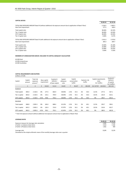#### **CAPITAL RATIOS**

| -----------                                                                                                        |            |           |
|--------------------------------------------------------------------------------------------------------------------|------------|-----------|
|                                                                                                                    | 31.03.15   | 31.12.14  |
| TOTAL RISK EXPOSURE AMOUNT Basel III (without additional risk exposure amount due to application of Basel I floor) | 2 2 1 8 .5 | 2 0 0 5.5 |
| Own fund requirement                                                                                               | 177.5      | 160.4     |
| Total capital ratio                                                                                                | 38.06%     | 42.32%    |
| Tier 1 Capital ratio                                                                                               | 38.00%     | 42.04%    |
| CET1 Capital ratio                                                                                                 | 38.00%     | 42.04%    |
| Tier 2 Capital ratio                                                                                               | 0.06%      | 0.27%     |
| TOTAL RISK EXPOSURE AMOUNT Basel III (with additional risk exposure amount due to application of Basel I floor)    | 3 5 4 1.4  | 3 3 7 0.8 |
| Own fund requirement                                                                                               | 283.3      | 269.7     |
| Total capital ratio                                                                                                | 23.84%     | 25.18%    |
| Tier 1 Capital ratio                                                                                               | 23.80%     | 25.02%    |
| CET1 Capital ratio                                                                                                 | 23.80%     | 25.02%    |
| Tier 2 Capital ratio                                                                                               | 0.04%      | 0.16%     |

#### **MEMBERS OF CONSOLIDATION GROUP, INCLUDED TO CAPITAL ADEQUACY CALCULATION**

AS SEB Pank AS SEB Liising Group AS SEB Varahaldus

# **CAPITAL REQUIREMENTS AND BUFFERS**

(millions of EUR)

| Capital        | Capital<br>amount | <b>Total risk</b><br>exposure<br>amount * |      | Base capital<br>requirement | $Surplus(+)$<br>Deficit(-)<br>of base capital | Capital<br>adeguacy<br>ratio |      | Capital<br>conservation<br>buffer |    | Systemic risk<br>buffer | Capital requirements<br>total,<br>incl. buffers |                    | $Surplus(+)$<br>Deficit(-)<br>of capital,<br>incl. buffers |
|----------------|-------------------|-------------------------------------------|------|-----------------------------|-----------------------------------------------|------------------------------|------|-----------------------------------|----|-------------------------|-------------------------------------------------|--------------------|------------------------------------------------------------|
|                |                   | $\overline{2}$                            | 3    | $4=2\times3$                | $5 = 1 - 4$                                   | $6=1/2$                      | 7    | $8=2\times7$                      | 9  | $10 = 2 \times 9$       | $11 = 3 + 7 + 9$                                | $12 = 2 \times 11$ | $13 = 1 - 12$                                              |
| 31.03.15       |                   |                                           |      |                             |                                               |                              |      |                                   |    |                         |                                                 |                    |                                                            |
| Total capital  | 844.4             | 2 2 1 8 .5                                | 8%   | 177.5                       | 666.9                                         | 38.06%                       | 2.5% | 55.5                              | 2% | 44.4                    | 12.5%                                           | 277.3              | 567.1                                                      |
| Tier 1 capital | 843.0             | 2 2 1 8 .5                                | 6%   | 133.1                       | 709.9                                         | 38.00%                       | 2.5% | 55.5                              | 2% | 44.4                    | 10.5%                                           | 232.9              | 610.1                                                      |
| CET1 capital   | 843.0             | 2 2 1 8 .5                                | 4.5% | 99.8                        | 743.2                                         | 38.00%                       | 2.5% | 55.5                              | 2% | 44.4                    | 9%                                              | 199.7              | 643.3                                                      |
| 31.12.14       |                   |                                           |      |                             |                                               |                              |      |                                   |    |                         |                                                 |                    |                                                            |
| Total capital  | 848.8             | 2 0 0 5.5                                 | 8%   | 160.4                       | 688.4                                         | 42.32%                       | 2.5% | 50.1                              | 2% | 40.1                    | 12.5%                                           | 250.7              | 598.1                                                      |
| Tier 1 capital | 843.3             | 2 0 0 5.5                                 | 6%   | 120.3                       | 723.0                                         | 42.04%                       | 2.5% | 50.1                              | 2% | 40.1                    | 10.5%                                           | 210.6              | 632.7                                                      |
| CET1 capital   | 843.3             | 2 0 0 5.5                                 | 4.5% | 90.2                        | 753.1                                         | 42.04%                       | 2.5% | 50.1                              | 2% | 40.1                    | 9%                                              | 180.5              | 662.8                                                      |

\* Total risk exposure amount without additional risk exposure amount due to application of Basel I floor

#### **LEVERAGE RATIO**

|                                                                                                | 31.03.15 | 31.12.14 |
|------------------------------------------------------------------------------------------------|----------|----------|
| Exposure measure for leverage ratio calculation                                                | 6085     | 6 1 3 2  |
| of which on balance sheet items                                                                | 5023     | 5 1 8 2  |
| of which off balance sheet items                                                               | 1061     | 949      |
| Leverage ratio<br>.<br>$\sim$<br>$\cdots$<br>$\cdots$<br>$\sim$ $\sim$ $\sim$<br>$\sim$ $\sim$ | 13.8%    | 13.2%    |

Calculated as the simple arithmetic mean of the monthly leverage ratios over a quarter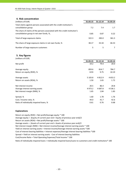| 4. Risk concentration                                                                                                   |          |          |          |
|-------------------------------------------------------------------------------------------------------------------------|----------|----------|----------|
| (millions of EUR)                                                                                                       | 31.03.15 | 31.12.14 | 31.03.14 |
| Total claims against persons associated with the credit institution's<br>consolidation group                            | 7.2      | 7.4      | 1.7      |
| The share of claims of the persons associated with the credit institution's<br>consolidation group in net own funds, %, | 0.85     | 0.87     | 0.22     |
| Total of large exposure claims                                                                                          | 322.3    | 283.0    | 361.3    |
| The share of large exposure claims in net own funds, %                                                                  | 38.17    | 33.34    | 46.53    |
| Number of large exposure customers                                                                                      | 5        | 5        |          |

**5. Key figures**

| (millions of EUR)                       |             |           |             |
|-----------------------------------------|-------------|-----------|-------------|
|                                         | 31.03.15    | 31.12.14  | 31.03.14    |
| Net profit                              | 19.2        | 79.4      | 20.0        |
| Average equity                          | 859.6       | 814.7     | 784.7       |
| Return on equity (ROE), %               | 8.93        | 9.75      | 10.19       |
| Average assets                          | 5 103.8     | 4 8 1 2.9 | 4 6 5 3 . 2 |
| Return on assets (ROA), %               | 1.50        | 1.65      | 1.72        |
| Net interest income                     | 20.5        | 86.4      | 20.8        |
| Average interest earning assets         | 4 9 7 3 . 2 | 4 687.8   | 4 5 3 6 . 1 |
| Net interest margin (NIM), %            | 1.65        | 1.84      | 1.83        |
| Spread, %                               | 1.60        | 1.78      | 1.76        |
| Cost / Income ratio, %                  | 44.0        | 41.7      | 42.6        |
| Ratio of individually impaired loans, % | 0.61        | 0.76      | 0.68        |

#### **Explanations**

Return on equity (ROE) = Net profit/Average equity \* 100 Average equity = (Equity of current year end + Equity of previous year end)/2 Return on assets (ROA) = Net profit/Average assets \* 100 Average assets = (Assets of current year end + Assets of previous year end)/2 Cost of interest bearing liabilities = Interest expenses/Average interest bearing liabilities \*100 Cost/Income Ratio = Total Operating Expenses/Total Income \* 100 Spread = Yield on interest earning assets ‐ Cost of interest bearing liabilities Ratio of individually impaired loans = Individually impaired loans/Loans to customers and credit institutions\* 100 Net interest margin (NIM) = Net interest income/Average interest earning assets \* 100 Yield on interest earning assets = Interest income/Average interest earning assets \*100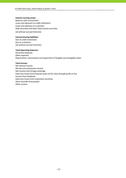#### **Interest earning assets:**

Balances with central bank Loans and advances to credit institutions Loans and advances to customers Debt securities and other fixed income securities

(all without accrued interests)

#### **Interest bearing liabilities:**

Due to credit institutions Due to customers (all without accrued interests)

#### **Total Operating Expenses:**

Personnel expenses Other expenses Depreciation, amortisation and impairment of tangible and intangible assets

#### **Total Income:**

Net interest income Net fee and commission income Net income from foreign exchange Gains less losses from financial assets at fair value through profit or loss Income from dividends Gains less losses from investment securities Share of profit of associates Other income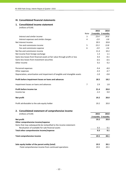## **III. Consolidated financial statements**

# **1. Consolidated income statement**

(millions of EUR)

|                                                                              |             | 2015              | 2014        |
|------------------------------------------------------------------------------|-------------|-------------------|-------------|
|                                                                              | <b>Note</b> | 3 months 3 months |             |
| Interest and similar income                                                  | 3           | 23.4              | 24.6        |
| Interest expenses and similar charges                                        | 4           | $-2.9$            | $-3.8$      |
| Net Interest Income                                                          |             | 20.5              | 20.8        |
| Fee and commission income                                                    | 5           | 15.3              | 13.8        |
| Fee and commission expense                                                   | 6           | $-3.9$            | $-3.6$      |
| Net fee and commission income                                                |             | 11.4              | 10.2        |
| Net income from foreign exchange                                             |             | 1.3               | 1.1         |
| Gains less losses from financial assets at fair value through profit or loss |             | 0.3               | $-0.1$      |
| Gains less losses from investment securities                                 |             | $-0.5$            | $-0.5$      |
| Other income                                                                 |             | 0.2               | 0.2         |
| Personnel expenses                                                           |             | $-9.4$            | $-8.0$      |
| Other expenses                                                               |             | $-4.3$            | $-4.7$      |
| Depreciation, amortisation and impairment of tangible and intangible assets  |             | $-1.0$            | $-0.8$      |
| Profit before impairment losses on loans and advances                        |             | 18.5              | 18.2        |
| Impairment losses on loans and advances                                      | 7           | 2.9               | 1.8         |
| Profit before income tax<br>Income tax                                       |             | 21.4<br>$-2.2$    | 20.0<br>0.0 |
| Net profit                                                                   |             | 19.2              | 20.0        |
| Profit attributable to the sole equity holder                                |             | 19.2              | 20.0        |
|                                                                              |             |                   |             |

#### **2. Consolidated statement of comprehensive income**

| (millions of EUR)                                                    | 2015 | 2014              |
|----------------------------------------------------------------------|------|-------------------|
|                                                                      |      | 3 months 3 months |
| Net profit                                                           | 19.2 | 20.0              |
| Other comprehensive income/expense                                   |      |                   |
| Items that may subsequently be reclassified to the income statement: |      |                   |
| Revaluation of available-for-sale financial assets                   | 0.3  | 0.1               |
| Total other comprehensive income/expense                             | 0.3  | 0.1               |
| Total comprehensive income                                           | 19.5 | 20.1              |
| Sole equity holder of the parent entity (total)                      | 19.5 | 20.1              |
| -Total comprehensive income from continued operations                | 19.5 | 20.1              |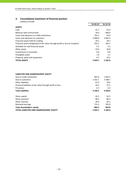# **3. Consolidated statement of financial position**

|                                                                               | 31.03.15 | 31.12.14    |
|-------------------------------------------------------------------------------|----------|-------------|
| <b>ASSETS</b>                                                                 |          |             |
| Cash                                                                          | 41.7     | 43.4        |
| Balances with central bank                                                    | 70.0     | 940.0       |
| Loans and advances to credit institutions                                     | 755.7    | 53.0        |
| Loans and advances to customers                                               | 3 9 68.9 | 3 9 6 3 . 4 |
| Financial assets held for trading                                             | 24.5     | 28.7        |
| Financial assets designated at fair value through profit or loss at inception | 102.2    | 102.2       |
| Available-for-sale financial assets                                           | 5.5      | 5.2         |
| Other assets                                                                  | 43.9     | 34.8        |
| Investments in associates                                                     | 0.8      | 0.8         |
| Intangible assets                                                             | 1.8      | 1.1         |
| Property, plant and equipment                                                 | 9.7      | 10.2        |
| <b>TOTAL ASSETS</b>                                                           | 5 0 24.7 | 5 182.8     |

| LIABILITIES AND SHAREHOLDERS' EQUITY                       |             |            |
|------------------------------------------------------------|-------------|------------|
| Due to credit institutions                                 | 907.6       | 1 0 3 3 .5 |
| Due to customers                                           | 3 1 6 1 . 1 | 3 188.7    |
| Other liabilities                                          | 67.0        | 78.0       |
| Financial liabilities at fair value through profit or loss | 24.2        | 27.5       |
| Provisions                                                 | 0.3         | 0.3        |
| <b>Total Liabilities</b>                                   | 4 160.2     | 4 3 2 8 .0 |
|                                                            |             |            |
| Share capital                                              | 42.5        | 42.5       |
| Share premium                                              | 86.3        | 86.3       |
| Other reserves                                             | 20.4        | 20.1       |
| Retained earnings                                          | 715.3       | 705.9      |
| <b>Total shareholders' equity</b>                          | 864.5       | 854.8      |
| <b>TOTAL LIABILITIES AND SHAREHOLDERS' EQUITY</b>          | 5 0 24.7    | 5 182.8    |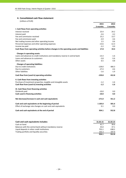#### **4. Consolidated cash flow statement**

|                                                                                             | 2015     | 2014     |
|---------------------------------------------------------------------------------------------|----------|----------|
|                                                                                             | 3 months | 3 months |
| I. Cash flows from operating activities                                                     |          |          |
| Interest received                                                                           | 23.4     | 24.2     |
| Interest paid                                                                               | $-2.6$   | $-3.2$   |
| Fee and commission received                                                                 | 15.2     | 13.7     |
| Fee and commission paid                                                                     | $-3.9$   | $-3.6$   |
| Net trading income and other operating income                                               | 1.5      | 0.6      |
| Personnel expenses and other operating expenses                                             | $-13.6$  | $-12.3$  |
| Income tax paid                                                                             | $-2.2$   | 0.0      |
| Cash flows from operating activities before changes in the operating assets and liabilities | 17.8     | 19.4     |
| Changes in operating assets:                                                                |          |          |
| Loans and advances to credit institutions and mandatory reserve in central bank             | $-13.3$  | $-1.6$   |
| Loans and advances to customers                                                             | $-2.8$   | $-5.6$   |
| Other assets                                                                                | 6.5      | 0.8      |
| <b>Changes of operating liabilities:</b>                                                    |          |          |
| Due to credit institutions                                                                  | $-139.0$ | 406.3    |
| Due to customers                                                                            | $-27.4$  | $-4.6$   |
| <b>Other liabilities</b>                                                                    | $-1.6$   | $-1.9$   |
| Cash flow from (used in) operating activities                                               | $-159.8$ | 412.8    |
| II. Cash flows from investing activities                                                    |          |          |
| Purchase of investment properties, tangible and intangible assets                           | $-1.2$   | $-1.6$   |
| Cash flow from (used in) investing activities                                               | $-1.2$   | $-1.6$   |
| III. Cash flows from financing activities                                                   |          |          |
| Dividends paid                                                                              | $-10.0$  | 0.0      |
| Cash used in financing activities                                                           | $-10.0$  | 0.0      |
| Net decrease/increase in cash and cash equivalents                                          | $-171.0$ | 411.2    |
| Cash and cash equivalents at the beginning of period                                        | 1 105.0  | 501.6    |
| Effect of exchange rate changes on cash and cash equivalents                                | 0.1      | 0.0      |
| Cash and cash equivalents at the end of period                                              | 934.1    | 912.8    |

| Cash and cash equivalents includes:                      | 31.03.15 | 31.03.14 |
|----------------------------------------------------------|----------|----------|
| Cash on hand                                             | 41.7     | 39.6     |
| Balances with the central bank without mandatory reserve | 35.0     | 37.1     |
| Liquid deposits in other credit institutions             | 755.1    | 638.2    |
| Trading portfolio and liquidity securities               | 102.3    | 197.9    |
|                                                          | 934.1    | 912.8    |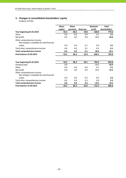# **5. Changes in consolidated shareholders' equity**

|                                                                           | <b>Share</b> | <b>Share</b> |                 | <b>Retained</b> | <b>Total</b>  |
|---------------------------------------------------------------------------|--------------|--------------|-----------------|-----------------|---------------|
|                                                                           | capital      | premium      | <b>Reserves</b> | profit          | shareholders' |
| Year beginning 01.01.2014                                                 | 42.5         | 86.3         | 19.8            | 626.0           | 774.6         |
| Other                                                                     | 0.0          | 0.0          | 0.0             | 0.1             | 0.1           |
| Net profit                                                                | 0.0          | 0.0          | 0.0             | 20.0            | 20.0          |
| Other comprehensive income:<br>Net change in available-for-sale financial |              |              |                 |                 |               |
| assets                                                                    | 0.0          | 0.0          | 0.1             | 0.0             | 0.1           |
| Total other comprehensive income                                          | 0.0          | 0.0          | 0.1             | 0.0             | 0.1           |
| <b>Total comprehensive income</b>                                         | 0.0          | 0.0          | 0.1             | 20.0            | 20.1          |
| <b>Final balance 31.03.2014</b>                                           | 42.5         | 86.3         | 19.9            | 646.1           | 794.8         |
| Year beginning 01.01.2015                                                 | 42.5         | 86.3         | 20.1            | 705.9           | 854.8         |
| Dividend paid                                                             | 0.0          |              |                 | $-10.0$         | $-10.0$       |
| Other                                                                     | 0.0          | 0.0          | 0.0             | 0.1             | 0.1           |
| Net profit                                                                | 0.0          | 0.0          | 0.0             | 19.2            | 19.2          |
| Other comprehensive income:<br>Net change in available-for-sale financial |              |              |                 |                 |               |
| assets                                                                    | 0.0          | 0.0          | 0.3             | 0.0             | 0.3           |
| Total other comprehensive income                                          | 0.0          | 0.0          | 0.3             | 0.0             | 0.3           |
| <b>Total comprehensive income</b>                                         | 0.0          | 0.0          | 0.3             | 19.2            | 19.5          |
| <b>Final balance 31.03.2015</b>                                           | 42.5         | 86.3         | 20.4            | 715.2           | 864.4         |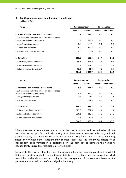#### **6. Contingent assets and liabilities and commitments**

(millions of EUR)

| 31.03.15                                                                                   |               | <b>Contract amount</b> | <b>Balance value</b> |                    |
|--------------------------------------------------------------------------------------------|---------------|------------------------|----------------------|--------------------|
|                                                                                            | <b>Assets</b> | <b>Liabilities</b>     | <b>Assets</b>        | <b>Liabilities</b> |
| 1. Irrevocable and revocable transactions                                                  | 7.5           | 1 0 24.2               | 0.0                  | 0.0                |
| 1.1. Guarantees and other similar off-balance sheet<br>irrovocable liabilitieas and claims | 2.5           | 296.9                  | 0.0                  | 0.0                |
| incl. financial quarantees                                                                 | 0.0           | 131.9                  | 0.0                  | 0.0                |
| 1.2. Loan commitments                                                                      | 5.0           | 727.3                  | 0.0                  | 0.0                |
| 1.3. Other revocable transactions                                                          | 0.0           | 0.0                    | 0.0                  | 0.0                |
| 2. Derivatives                                                                             | 616.6         | 615.5                  | 24.4                 | 24.2               |
| 2.1. Currency related derivatives                                                          | 246.8         | 245.9                  | 1.6                  | 0.8                |
| 2.2. Interest related derivatives                                                          | 357.7         | 357.7                  | 21.1                 | 21.4               |
| 2.3. Equity related derivatives*                                                           | 12.1          | 11.9                   | 1.7                  | 2.0                |
|                                                                                            | 624.1         | 1639.7                 | 24.4                 | 24.2               |

| 31.12.14                                            | <b>Contract amount</b> |                    | <b>Balance value</b> |                    |  |
|-----------------------------------------------------|------------------------|--------------------|----------------------|--------------------|--|
|                                                     | <b>Assets</b>          | <b>Liabilities</b> | <b>Assets</b>        | <b>Liabilities</b> |  |
| 1. Irrevocable and revocable transactions           | 5.8                    | 931.8              | 0.0                  | 0.0                |  |
| 1.1. Guarantees and other similar off-balance sheet |                        |                    |                      |                    |  |
| irrovocable liabilitieas and claims                 | 0.8                    | 240.5              | 0.0                  | 0.0                |  |
| incl. financial guarantees                          | 0.0                    | 80.3               | 0.0                  | 0.0                |  |
| 1.2. Loan commitments                               | 5.0                    | 691.3              | 0.0                  | 0.0                |  |
| 2. Derivatives                                      | 959.0                  | 956.8              | 28.7                 | 27.6               |  |
| 2.1. Currency related derivatives                   | 629.8                  | 627.8              | 3.4                  | 1.4                |  |
| 2.2. Interest related derivatives                   | 316.1                  | 316.1              | 24.0                 | 24.5               |  |
| 2.3. Equity related derivatives*                    | 13.1                   | 12.9               | $1.3\phantom{0}$     | 1.7                |  |
|                                                     | 964.8                  | 1888.6             | 28.7                 | 27.6               |  |

\* Derivative transactions are executed to cover the client's position and the derivative risks are not taken to own portfolio. All risks arising from these transactions are fully mitigated with parent company. The equity option prices are calculated using for all input data (e.g. underlying prices or volumes) either independently sourced input (e.g. the underlying prices) or an independent price verification is performed on the next day to compare the values to independently sourced market data (e.g. for volumes).

Pursuant to the Law of Obligations Act, the operating lease agreements, concluded by AS SEB Liising are partially related to a contingent liability, the likelihood and the amount of which cannot be reliably determined. According to the management of the company, based on the previous practice, realisation of the obligation is unlikely.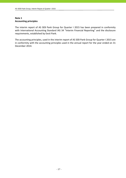# **Note 1 Accounting principles**

The interim report of AS SEB Pank Group for Quarter I 2015 has been prepared in conformity with International Accounting Standard IAS 34 "Interim Financial Reporting" and the disclosure requirements, established by Eesti Pank.

The accounting principles, used in the interim report of AS SEB Pank Group for Quarter I 2015 are in conformity with the accounting principles used in the annual report for the year ended on 31 December 2014.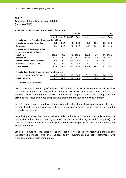# **Fair value of financial assets and liabilities**

(millions of EUR)

## **A) Financial instruments measured at fair value**

|                                                             |         |         |         | 31.03.15 |         |         |         | 31.12.14 |
|-------------------------------------------------------------|---------|---------|---------|----------|---------|---------|---------|----------|
|                                                             | Level 1 | Level 2 | Level 3 | Total    | Level 1 | Level 2 | Level 3 | Total    |
| Financial assets at fair value through profit and loss      |         |         |         |          |         |         |         |          |
| <b>Financial assets held for trading</b>                    | 0.1     | 24.4    | 0.0     | 24.5     | 0.3     | 28.5    | 0.0     | 28.8     |
| Derivatives                                                 | 0.0     | 24.4    | 0.0     | 24.4     | $0.2*$  | 28.5    | 0.0     | 28.7     |
| Financial assets designated at fair                         |         |         |         |          |         |         |         |          |
| value through profit or loss at                             |         |         |         |          |         |         |         |          |
| inception                                                   | 102.2   | 0.0     | 0.0     | 102.2    | 102.2   | 0.0     | 0.0     | 102.2    |
| Debt securities                                             | 102.2   | 0.0     | 0.0     | 102.2    | 102.2   | 0.0     | 0.0     | 102.2    |
| Available for sale financial assets                         | 5.4     | 0.0     | 0.1     | 5.5      | 5.1     | 0.0     | 0.1     | 5.2      |
| Investment securities - equity                              | 5.4     | 0.0     | 0.1     | 5.5      | 5.1     | 0.0     | 0.1     | 5.2      |
| <b>TOTAL ASSETS</b>                                         | 107.7   | 24.4    | 0.1     | 132.2    | 107.6   | 28.5    | 0.1     | 136.2    |
| Financial liabilities at fair value through profit and loss |         |         |         |          |         |         |         |          |
| Financial liabilities held for trading                      | 0.0     | 24.2    | 0.0     | 24.2     | $0.1*$  | 27.4    | 0.0     | 27.5     |
| <b>TOTAL LIABILITIES</b>                                    | 0.0     | 24.2    | 0.0     | 24.2     | 0.1     | 27.4    | 0.0     | 27.5     |

\*Fair value of spot derivatives

IFRS 7 specifies a hierarchy of valuation techniques based on whether the inputs to those valuation techniques are observable or unobservable. Observable inputs reflect market data obtained from independent sources; unobservable inputs reflect the Group's market assumptions. These two types of inputs have created the following fair value hierarchy:

Level 1 - Quoted prices (unadjusted) in active markets for identical assets or liabilities. This level includes listed equity securities and debt instruments on exchanges but also instruments quoted by market participants.

Level 2 - Inputs other than quoted prices included within Level 1 that are observable for the asset or liability, either directly (that is, as prices) or indirectly (that is, derived from prices). The sources of input parameters like Euro yield curve or counterparty credit risk are Bloomberg and Thomson Reuters.

Level 3 - Inputs for the asset or liability that are not based on observable market data (unobservable inputs). This level includes equity investments and debt instruments with significant unobservable components.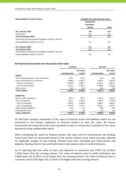| <b>Reconciliation of Level 3 Items</b>                     | Available-for-sale financial assets |       |
|------------------------------------------------------------|-------------------------------------|-------|
|                                                            | Investment                          |       |
|                                                            | securities -                        |       |
|                                                            | equity                              | Total |
| At 1 January 2014                                          | 0.0                                 | 0.0   |
| <b>Total losses</b>                                        | 0.1                                 | 0.1   |
| At 31 December 2014                                        | 0.1                                 | 0.1   |
| Total losses for the period included in profit or loss for |                                     |       |
| assets/liabilities held at 31.12.14                        | 0.1                                 | 0.1   |
| At 1 January 2015                                          | 0.1                                 | 0.1   |
| <b>At 31 March 2015</b>                                    | 0.1                                 | 0.1   |
| Total losses for the period included in profit or loss for |                                     |       |
| assets/liabilities held at 31.03.15                        | 0.0                                 | 0.0   |

#### **B) Financial instruments not measured at fair value**

|                                           | 31.03.15              |             | 31.12.14       |             |  |
|-------------------------------------------|-----------------------|-------------|----------------|-------------|--|
|                                           |                       | Fair value, |                | Fair value, |  |
|                                           | <b>Carrying value</b> | Level 3     | Carrying value | Level 3     |  |
| <b>ASSETS</b>                             |                       |             |                |             |  |
| Loans and advances to credit institutions | 755.7                 | 755.7       | 53.0           | 53.0        |  |
| Loans and advances to customers           | 3 9 68.9              | 3847.7      | 3 9 6 3 . 4    | 3870.3      |  |
| Loans to Corporates                       | 2049.8                | 2048.7      | 2054.5         | 2053.5      |  |
| Loans to households                       | 1919.1                | 1 799.1     | 1908.9         | 1816.8      |  |
| Other assets                              | 43.9                  | 43.9        | 34.8           | 34.8        |  |
| <b>TOTAL ASSETS</b>                       | 4768.5                | 4 647.3     | 4 0 5 1 . 2    | 3958.1      |  |
| <b>LIABILITIES</b>                        |                       |             |                |             |  |
| Due to credit institutions                | 907.6                 | 907.1       | 1033.5         | 1032.4      |  |
| Due to customers                          | 3 161.1               | 3 1 6 5 . 3 | 3 188.7        | 3 191.8     |  |
| Due to Corporates                         | 1786.3                | 1 790.0     | 1843.6         | 1846.5      |  |
| Due to households                         | 1 3 7 4.8             | 1375.3      | 1 3 4 5 . 1    | 1 3 4 5 . 4 |  |
| Other financial liabilities               | 67.0                  | 67.0        | 78.0           | 78.0        |  |
| Subordinated loans                        | 0.0                   | 0.0         | 0.0            | 0.0         |  |
| <b>TOTAL LIABILITIES</b>                  | 4 1 3 5 . 7           | 4 1 3 9 . 3 | 4 300.2        | 4 3 0 2.2   |  |

AS SEB Pank conducts assessment of fair value of financial assets and liabilities which are not presented in the Group's statement of financial position at their fair value. All finance instruments not measured at fair value specified at Level 3 in hierarchy of valuation of fair value, because of using unobservable inputs.

When calculating fair value for floating interest rate loans and for fixed-interest rate lending, future cash flows are discounted based on the market interest curve, which has been adjusted for applicable margins of new lending. Similarly have been calculated also fixed-interest rate deposits, floating interest rate and fixed‐interest rate balances due to credit institutions.

As of reporting date fair value of loans and advances to customers was 3.05% (31.12.2014: 2.35%) lower than the carrying amount. Fair value of balances due to credit institutions was 0.06% lower (31.12.2014: 0.11% lower) than the carrying amount. Fair value of balances due to customers was 0.13% higher (31.12.2014: 0.1% higher) than the carrying amount.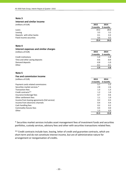#### **Interest and similar income**

| (millions of EUR)         | 2015     | 2014     |
|---------------------------|----------|----------|
|                           | 3 months | 3 months |
| Loans                     | 19.2     | 20.6     |
| Leasing                   | 3.5      | 3.2      |
| Deposits with other banks | 0.1      | 0.3      |
| Fixed income securities   | 0.6      | 0.5      |
|                           | 23.4     | 24.6     |

#### **Note 4**

| Interest expenses and similar charges |          |          |
|---------------------------------------|----------|----------|
| (millions of EUR)                     | 2015     | 2014     |
|                                       | 3 months | 3 months |
| Credit institutions                   | $-1.4$   | $-1.8$   |
| Time and other saving deposits        | $-0.6$   | $-0.9$   |
| Demand deposits                       | $-0.8$   | $-1.0$   |
| Other                                 | $-0.1$   | $-0.1$   |
|                                       | $-2.9$   | $-3.8$   |

#### **Note 5**

#### **Fee and commission income**

| (millions of EUR)                             | 2015     | 2014     |
|-----------------------------------------------|----------|----------|
|                                               | 3 months | 3 months |
| Payment cards related commissions             | 5.7      | 5.5      |
| Securities market services *                  | 2.8      | 2.6      |
| <b>Transaction fees</b>                       | 1.3      | 1.3      |
| Credit contracts**                            | 1.2      | 1.0      |
| Insurance brokerage fees                      | 0.7      | 0.6      |
| Other settlement fees                         | 1.1      | 1.0      |
| Income from leasing agreements (full service) | 0.2      | 0.3      |
| Income from electronic channels               | 0.4      | 0.4      |
| Cash handling fees                            | 0.2      | 0.2      |
| Commodity futures fees                        | 0.4      | 0.0      |
| Other                                         | 1.3      | 0.9      |
|                                               | 15.3     | 13.8     |

\* Securities market services includes asset management fees of investment funds and securities portfolios, custody services, advisory fees and other with securities transactions related fees.

\*\* Credit contracts include loan, leasing, letter of credit and guarantee contracts, which are short‐term and do not constitute interest income, but are of administrative nature for arrangement or reorganisation of credits.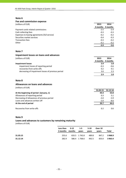#### **Fee and commission expense**

| (millions of EUR)                             | 2015              | 2014   |
|-----------------------------------------------|-------------------|--------|
|                                               | 3 months 3 months |        |
| Payment cards related commissions             | $-2.5$            | $-2.4$ |
| Cash collecting fees                          | $-0.3$            | $-0.3$ |
| Expenses to leasing agreements (full service) | $-0.2$            | $-0.2$ |
| Securities market services                    | $-0.4$            | $-0.3$ |
| <b>Transaction fees</b>                       | $-0.3$            | $-0.2$ |
| Other                                         | $-0.2$            | $-0.2$ |
|                                               | $-3.9$            | $-3.6$ |

## **Note 7**

#### **Impairment losses on loans and advances**

| (millions of EUR) | 2015            | 2014 |
|-------------------|-----------------|------|
|                   | 2 months 2 mont |      |

|                                                    |        | 3 months 3 months |
|----------------------------------------------------|--------|-------------------|
| <b>Impairment losses</b>                           | 2.9    | 1.8               |
| impairment losses of reporting period              | $-0.3$ | $-0.6$            |
| recoveries from write-offs                         | 0.2    | 0.1               |
| decreasing of impairment losses of previous period | 3.0    | 23.               |
|                                                    | 2.9    |                   |

## **Note 8**

#### **Allowances on loans and advances**

(millions of EUR)

|                                             | 31.03.15 | 31.12.14 |
|---------------------------------------------|----------|----------|
| At the beginning of period (January, 1)     | 44.4     | 53.8     |
| Allowances of reporting period              | 0.3      | 5.1      |
| Decreasing of allowances of previous period | $-3.0$   | $-5.9$   |
| Loans and advances written off              | $-2.0$   | -8.6     |
| At the end of period                        | 39.7     | 44.4     |
| Recoveries from write-offs                  | በ 2      | 0.6      |

#### **Note 9**

#### **Loans and advances to customers by remaining maturity**

|          | Less than<br>3 months months | - 3-12 | $1-5$<br>vears | 5-10<br>vears | Over 10<br>vears | Total   |
|----------|------------------------------|--------|----------------|---------------|------------------|---------|
| 31.03.15 | 255.6                        |        | 633.5 1 742.8  | 489.8         | 847.2            | 3 968.9 |
| 31.12.14 | 282.9                        |        | 586.4 1768.6   | 492.5         | 833.0            | 3 963.4 |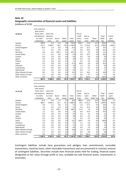## **Note 10 Geographic concentration of financial assets and liabilities**

(millions of EUR)

|                      | Cash, balances |           |         |        |             |          |         |              |          |             |
|----------------------|----------------|-----------|---------|--------|-------------|----------|---------|--------------|----------|-------------|
|                      | with central   |           |         |        |             |          |         |              |          |             |
| 31.03.15             | bank, loans    | Loans and |         |        |             | Due to   |         |              |          |             |
|                      | and advances   | advances  |         |        |             | credit   | Due to  |              | Total    | Contin-     |
|                      | to credit      | to custo- | Securi- | Other  | Total       | institu- | custo-  | Other        | liabili- | gent        |
|                      | institutions   | mers      | ties    | assets | assets      | tions    | mers    | liabili-ties | ties     | liabilities |
| Sweden               | 699.8          | 0.5       | 2.6     | 0.6    | 703.5       | 818.7    | 11.8    | 22.7         | 853.2    | 1.3         |
| Estonia              | 112.1          | 3 949.3   | 28.2    | 50.3   | 4 1 3 9 . 9 | 5.3      | 2716.2  | 67.5         | 2789.0   | 1 0 0 5 . 3 |
| United Kingdom       | 23.9           | 1.4       | 0.0     | 0.0    | 25.3        | 1.8      | 32.7    | 0.2          | 34.7     | 1.5         |
| Russia               | 1.1            | 0.4       | 0.0     | 0.0    | 1.5         | 0.9      | 44.3    | 0.0          | 45.2     | 0.0         |
| Germany              | 4.6            | 0.2       | 102.2   | 0.1    | 107.1       | 9.3      | 2.0     | 0.0          | 11.3     | 5.0         |
| <b>United States</b> | 0.7            | 0.2       | 0.0     | 0.0    | 0.9         | 0.8      | 47.5    | 0.0          | 48.3     | 0.0         |
| Canada               | 0.0            | 0.0       | 0.0     | 0.0    | 0.0         | 0.0      | 0.9     | 0.0          | 0.9      | 0.0         |
| Japan                | 0.0            | 0.0       | 0.0     | 0.0    | 0.0         | 0.0      | 0.4     | 0.0          | 0.4      | 0.0         |
| Finland              | 2.0            | 0.8       | 0.0     | 0.3    | 3.1         | 0.3      | 9.3     | 0.6          | 10.2     | 4.7         |
| Latvia               | 6.3            | 8.8       | 0.0     | 2.2    | 17.3        | 64.8     | 2.8     | 0.0          | 67.6     | 0.5         |
| Lithuania            | 1.5            | 0.0       | 0.0     | 0.3    | 1.8         | 1.4      | 4.5     | 0.1          | 6.0      | 0.0         |
| Luxembourg           | 7.7            | 0.0       | 0.0     | 0.2    | 7.9         | 2.2      | 0.1     | 0.0          | 2.3      | 0.0         |
| Netherlands          | 0.0            | 0.0       | 0.0     | 0.0    | 0.0         | 0.0      | 1.1     | 0.0          | 1.1      | 0.0         |
| Other Western Europe | 6.0            | 7.0       | 0.0     | 0.3    | 13.3        | 2.0      | 28.2    | 0.2          | 30.4     | 2.9         |
| Other Eastern Europe | 1.7            | 0.0       | 0.0     | 0.0    | 1.7         | 0.0      | 6.7     | 0.0          | 6.7      | 0.0         |
| Other countries      | 0.0            | 0.3       | 0.0     | 1.1    | 1.4         | 0.1      | 252.6   | 0.2          | 252.9    | 3.0         |
|                      | 867.4          | 3 968.9   | 133.0   | 55.4   | 5 024.7     | 907.6    | 3 161.1 | 91.5         | 4 160.2  | 1024.2      |

|                      | 1 0 3 6 . 4                    | 3 9 6 3.4  | 136.9   | 46.1   | 5 182.8 | 1 0 3 3 .5 | 3 188.7 | 105.8        | 4 3 2 8 .0 | 931.8       |
|----------------------|--------------------------------|------------|---------|--------|---------|------------|---------|--------------|------------|-------------|
| Other countries      | 0.0                            | 0.3        | 0.0     | 0.5    | 0.8     | 0.1        | 231.3   | 0.5          | 231.9      | 2.7         |
| Other Eastern Europe | 1.7                            | 0.0        | 0.0     | 0.0    | 1.7     | 0.0        | 6.8     | 0.0          | 6.8        | 0.0         |
| Other Western Europe | 7.3                            | 7.1        | 0.0     | 0.4    | 14.8    | 1.9        | 33.4    | 0.1          | 35.4       | 2.9         |
| Netherlands          | 0.0                            | 0.0        | 0.0     | 0.0    | 0.0     | 0.0        | 2.9     | 0.0          | 2.9        | 0.0         |
| Luxembourg           | 4.9                            | 0.0        | 0.0     | 0.3    | 5.2     | 1.0        | 0.0     | 0.0          | 1.0        | 0.0         |
| Lithuania            | 5.0                            | 0.0        | 0.0     | 0.3    | 5.3     | 1.2        | 5.6     | 0.1          | 6.9        | 0.0         |
| Latvia               | 2.4                            | 9.0        | 0.0     | 1.8    | 13.2    | 104.2      | 2.6     | 0.0          | 106.8      | 0.5         |
| Finland              | 0.0                            | 0.8        | 0.0     | 0.6    | 1.4     | 0.0        | 9.3     | 0.6          | 9.9        | 4.7         |
| Japan                | 0.0                            | 0.0        | 0.0     | 0.0    | 0.0     | 0.0        | 0.3     | 0.0          | 0.3        | 0.0         |
| Canada               | 0.0                            | 0.0        | 0.0     | 0.0    | 0.0     | 0.0        | 1.6     | 0.0          | 1.6        | 0.0         |
| <b>United States</b> | 2.2                            | 0.2        | 0.0     | 0.0    | 2.4     | 0.6        | 42.9    | 0.0          | 43.5       | 0.0         |
| Germany              | 3.9                            | 0.1        | 102.2   | 0.0    | 106.2   | 11.4       | 3.4     | 0.0          | 14.8       | 5.0         |
| Russia               | 2.0                            | 0.3        | 0.0     | 0.0    | 2.3     | 3.6        | 47.0    | 0.0          | 50.6       | 0.1         |
| United Kingdom       | 0.9                            | 1.5        | 0.0     | 0.1    | 2.5     | 1.6        | 37.7    | 0.3          | 39.6       | 1.6         |
| Estonia              | 984.2                          | 3 9 4 3 .5 | 31.5    | 41.2   | 5 000.4 | 19.5       | 2751.3  | 78.7         | 2 849.5    | 912.8       |
| Sweden               | 21.9                           | 0.6        | 3.2     | 0.9    | 26.6    | 888.4      | 12.6    | 25.5         | 926.5      | 1.5         |
|                      | institutions                   | mers       | ties    | assets | assets  | tions      | mers    | liabili-ties | ties       | liabilities |
|                      | to credit                      | to custo-  | Securi- | Other  | Total   | institu-   | custo-  | Other        | liabili-   | gent        |
| 31.12.14             | and advances                   | advances   |         |        |         | credit     | Due to  |              | Total      | Contin-     |
|                      | bank, loans                    | Loans and  |         |        |         | Due to     |         |              |            |             |
|                      | Cash, balances<br>with central |            |         |        |         |            |         |              |            |             |
|                      |                                |            |         |        |         |            |         |              |            |             |
|                      |                                |            |         |        |         |            |         |              |            |             |

Contingent liabilities include here guarantees and pledges, loan commitments, revocable transactions, stand‐by loans, other revocable transactions and are presented in contract amount of contingent liabilities. Securities include here financial assets held for trading, financial assets designated at fair value through profit or loss, available‐for‐sale financial assets, investments in associates.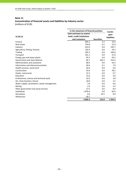# **Concentration of financial assets and liabilities by industry sector** (millions of EUR)

| In the statement of financial position       |                                  |                   |                    |
|----------------------------------------------|----------------------------------|-------------------|--------------------|
|                                              | <b>Cash and loans to central</b> |                   | Contin-<br>gent    |
| 31.03.15                                     | bank, credit institutions        |                   | <b>liabilities</b> |
|                                              | and customers                    | <b>Securities</b> |                    |
| Finance                                      | 895.2                            | 5.5               | 19.3               |
| Real estate                                  | 754.8                            | 0.1               | 22.4               |
| Industry                                     | 322.0                            | 0.0               | 192.7              |
| Agriculture, fishing, forestry               | 192.4                            | 0.0               | 19.2               |
| Trading                                      | 185.2                            | 0.0               | 166.6              |
| Transport                                    | 161.1                            | 0.0               | 37.6               |
| Energy, gas and steam plants                 | 95.5                             | 0.0               | 92.5               |
| Government and state defence                 | 85.7                             | 102.2             | 214.3              |
| Administration and assistance                | 80.9                             | 0.0               | 54.5               |
| Information and telecommunication            | 49.4                             | 0.1               | 7.8                |
| Health services, social work                 | 44.6                             | 0.0               | 6.6                |
| Construction                                 | 43.0                             | 0.0               | 78.2               |
| Hotels, restaurants                          | 31.5                             | 0.0               | 0.7                |
| Education                                    | 15.6                             | 0.0               | 5.8                |
| Professional, science and technical work     | 10.5                             | 0.0               | 3.8                |
| Art, show business, leisure                  | 10.0                             | 0.0               | 3.2                |
| Water supply, canalisation, waste management | 7.8                              | 0.0               | 6.0                |
| Mining                                       | 2.9                              | 0.0               | 2.4                |
| Other government and social services         | 17.5                             | 0.6               | 8.0                |
| <b>Individuals</b>                           | 1870.4                           | 0.0               | 82.6               |
| Derivatives                                  | 0.0                              | 24.5              | 0.0                |
| Allowances                                   | $-39.7$                          |                   |                    |
|                                              | 4836.3                           | 133.0             | 1 0 24.2           |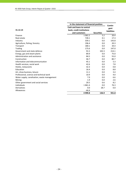|                                              | In the statement of financial position | Contin-           |                    |
|----------------------------------------------|----------------------------------------|-------------------|--------------------|
|                                              | <b>Cash and loans to central</b>       |                   | gent               |
| 31.12.14                                     | bank, credit institutions              |                   | <b>liabilities</b> |
|                                              | and customers                          | <b>Securities</b> |                    |
| Finance                                      | 1 0 6 2 . 2                            | 5.2               | 20.4               |
| Real estate                                  | 728.1                                  | 0.1               | 17.3               |
| Industry                                     | 339.1                                  | 0.0               | 143.8              |
| Agriculture, fishing, forestry               | 196.4                                  | 0.0               | 20.3               |
| Transport                                    | 180.1                                  | 0.0               | 34.4               |
| Trading                                      | 175.6                                  | 0.0               | 147.0              |
| Government and state defence                 | 91.5                                   | 102.3             | 214.1              |
| Energy, gas and steam plants                 | 89.9                                   | 0.0               | 75.0               |
| Administration and assistance                | 84.5                                   | 0.0               | 55.0               |
| Construction                                 | 46.7                                   | 0.0               | 80.7               |
| Information and telecommunication            | 45.1                                   | 0.0               | 5.3                |
| Health services, social work                 | 42.6                                   | 0.0               | 7.8                |
| Hotels, restaurants                          | 32.3                                   | 0.0               | 0.8                |
| Education                                    | 16.4                                   | 0.0               | 8.8                |
| Art, show business, leisure                  | 11.1                                   | 0.0               | 3.4                |
| Professional, science and technical work     | 10.9                                   | 0.0               | 4.0                |
| Water supply, canalisation, waste management | 7.9                                    | 0.0               | 6.6                |
| Mining                                       | 1.9                                    | 0.0               | 2.6                |
| Other government and social services         | 20.5                                   | 0.6               | 8.2                |
| Individuals                                  | 1861.4                                 | 0.0               | 76.3               |
| Derivatives                                  | 0.0                                    | 28.7              | 0.0                |
| Allowances                                   | $-44.4$                                |                   |                    |
|                                              | 4 9 9 9.8                              | 136.9             | 931.8              |